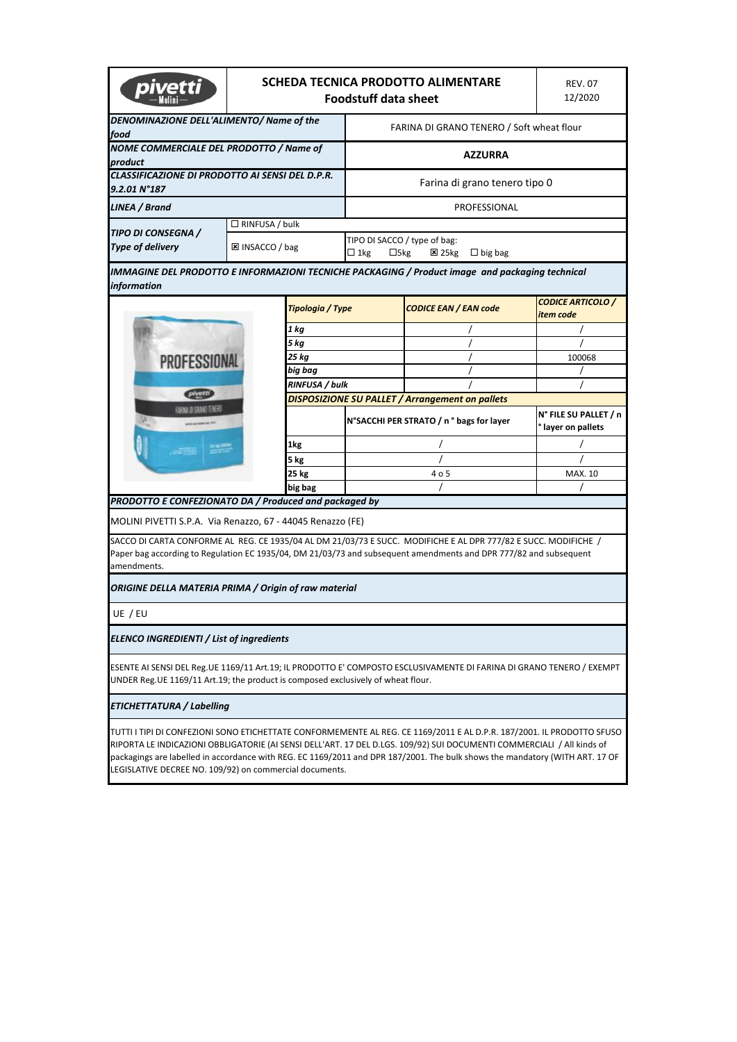|                                                                                  | SCHEDA TECNICA PRODOTTO ALIMENTARE<br><b>Foodstuff data sheet</b> | <b>REV. 07</b><br>12/2020 |                                                                                                                                                                                                                                                                                                                                                                                  |                                           |  |  |
|----------------------------------------------------------------------------------|-------------------------------------------------------------------|---------------------------|----------------------------------------------------------------------------------------------------------------------------------------------------------------------------------------------------------------------------------------------------------------------------------------------------------------------------------------------------------------------------------|-------------------------------------------|--|--|
| DENOMINAZIONE DELL'ALIMENTO/ Name of the<br>food                                 |                                                                   |                           | FARINA DI GRANO TENERO / Soft wheat flour                                                                                                                                                                                                                                                                                                                                        |                                           |  |  |
| NOME COMMERCIALE DEL PRODOTTO / Name of<br>product                               |                                                                   |                           | <b>AZZURRA</b>                                                                                                                                                                                                                                                                                                                                                                   |                                           |  |  |
| CLASSIFICAZIONE DI PRODOTTO AI SENSI DEL D.P.R.<br>9.2.01 N°187                  |                                                                   |                           | Farina di grano tenero tipo 0                                                                                                                                                                                                                                                                                                                                                    |                                           |  |  |
| LINEA / Brand                                                                    |                                                                   |                           | PROFESSIONAL                                                                                                                                                                                                                                                                                                                                                                     |                                           |  |  |
|                                                                                  | $\Box$ RINFUSA / bulk                                             |                           |                                                                                                                                                                                                                                                                                                                                                                                  |                                           |  |  |
| TIPO DI CONSEGNA /<br><b>Type of delivery</b>                                    | 区 INSACCO / bag                                                   | $\Box$ 1kg                | TIPO DI SACCO / type of bag:<br>$\Box$ 5kg<br>$\Sigma$ 25 $kg$<br>$\Box$ big bag                                                                                                                                                                                                                                                                                                 |                                           |  |  |
| information                                                                      |                                                                   |                           | IMMAGINE DEL PRODOTTO E INFORMAZIONI TECNICHE PACKAGING / Product image  and packaging technical                                                                                                                                                                                                                                                                                 |                                           |  |  |
|                                                                                  | Tipologia / Type                                                  |                           | <b>CODICE EAN / EAN code</b>                                                                                                                                                                                                                                                                                                                                                     | <b>CODICE ARTICOLO /</b><br>item code     |  |  |
|                                                                                  | 1 kg                                                              |                           |                                                                                                                                                                                                                                                                                                                                                                                  |                                           |  |  |
|                                                                                  | 5 kg                                                              |                           |                                                                                                                                                                                                                                                                                                                                                                                  |                                           |  |  |
| PROFESSIONAL                                                                     | 25 kg                                                             |                           |                                                                                                                                                                                                                                                                                                                                                                                  | 100068                                    |  |  |
|                                                                                  | big bag                                                           |                           |                                                                                                                                                                                                                                                                                                                                                                                  |                                           |  |  |
| pivetti                                                                          | RINFUSA / bulk                                                    |                           |                                                                                                                                                                                                                                                                                                                                                                                  |                                           |  |  |
| <b>CONVERTS CRANE TO AFFER</b>                                                   |                                                                   |                           | DISPOSIZIONE SU PALLET / Arrangement on pallets                                                                                                                                                                                                                                                                                                                                  |                                           |  |  |
|                                                                                  |                                                                   |                           | N°SACCHI PER STRATO / n ° bags for layer                                                                                                                                                                                                                                                                                                                                         | N° FILE SU PALLET / n<br>layer on pallets |  |  |
|                                                                                  | 1kg                                                               |                           |                                                                                                                                                                                                                                                                                                                                                                                  |                                           |  |  |
|                                                                                  | 5 kg                                                              |                           |                                                                                                                                                                                                                                                                                                                                                                                  |                                           |  |  |
|                                                                                  | 25 kg                                                             |                           | 4 o 5                                                                                                                                                                                                                                                                                                                                                                            | MAX. 10                                   |  |  |
|                                                                                  | big bag                                                           |                           |                                                                                                                                                                                                                                                                                                                                                                                  |                                           |  |  |
| PRODOTTO E CONFEZIONATO DA / Produced and packaged by                            |                                                                   |                           |                                                                                                                                                                                                                                                                                                                                                                                  |                                           |  |  |
| MOLINI PIVETTI S.P.A. Via Renazzo, 67 - 44045 Renazzo (FE)                       |                                                                   |                           |                                                                                                                                                                                                                                                                                                                                                                                  |                                           |  |  |
| amendments.                                                                      |                                                                   |                           | SACCO DI CARTA CONFORME AL REG. CE 1935/04 AL DM 21/03/73 E SUCC. MODIFICHE E AL DPR 777/82 E SUCC. MODIFICHE /<br>Paper bag according to Regulation EC 1935/04, DM 21/03/73 and subsequent amendments and DPR 777/82 and subsequent                                                                                                                                             |                                           |  |  |
| ORIGINE DELLA MATERIA PRIMA / Origin of raw material                             |                                                                   |                           |                                                                                                                                                                                                                                                                                                                                                                                  |                                           |  |  |
| UE / EU                                                                          |                                                                   |                           |                                                                                                                                                                                                                                                                                                                                                                                  |                                           |  |  |
| ELENCO INGREDIENTI / List of ingredients                                         |                                                                   |                           |                                                                                                                                                                                                                                                                                                                                                                                  |                                           |  |  |
| UNDER Reg.UE 1169/11 Art.19; the product is composed exclusively of wheat flour. |                                                                   |                           | ESENTE AI SENSI DEL Reg.UE 1169/11 Art.19; IL PRODOTTO E' COMPOSTO ESCLUSIVAMENTE DI FARINA DI GRANO TENERO / EXEMPT                                                                                                                                                                                                                                                             |                                           |  |  |
| ETICHETTATURA / Labelling                                                        |                                                                   |                           |                                                                                                                                                                                                                                                                                                                                                                                  |                                           |  |  |
| LEGISLATIVE DECREE NO. 109/92) on commercial documents.                          |                                                                   |                           | TUTTI I TIPI DI CONFEZIONI SONO ETICHETTATE CONFORMEMENTE AL REG. CE 1169/2011 E AL D.P.R. 187/2001. IL PRODOTTO SFUSO<br>RIPORTA LE INDICAZIONI OBBLIGATORIE (AI SENSI DELL'ART. 17 DEL D.LGS. 109/92) SUI DOCUMENTI COMMERCIALI / All kinds of<br>packagings are labelled in accordance with REG. EC 1169/2011 and DPR 187/2001. The bulk shows the mandatory (WITH ART. 17 OF |                                           |  |  |
|                                                                                  |                                                                   |                           |                                                                                                                                                                                                                                                                                                                                                                                  |                                           |  |  |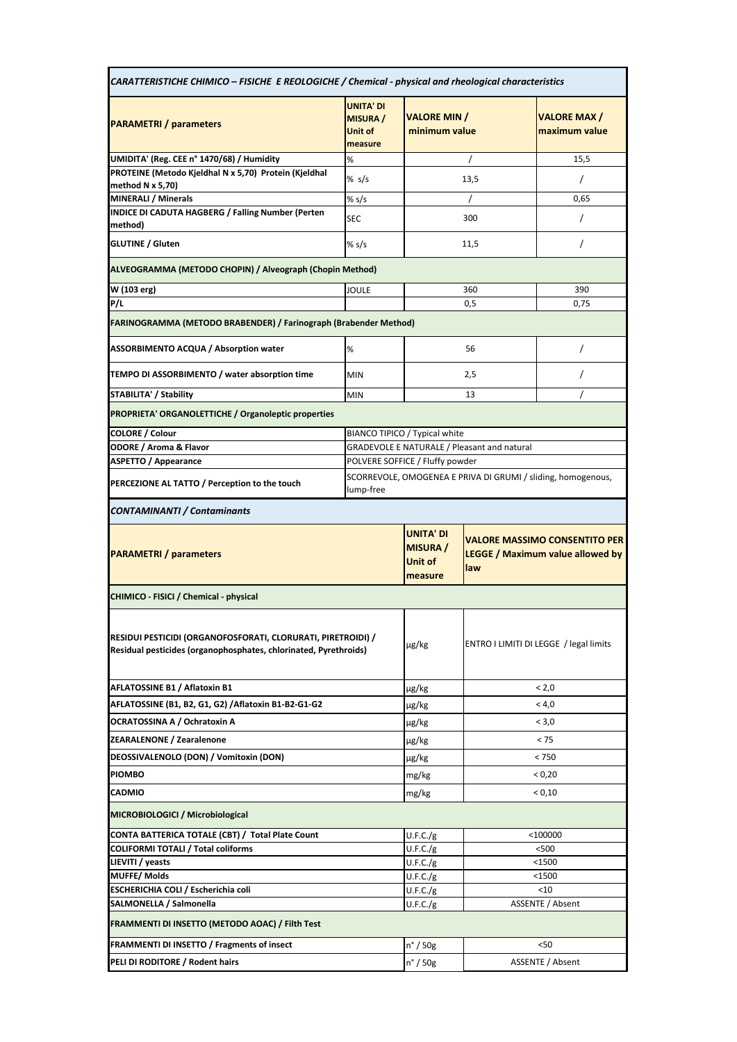| CARATTERISTICHE CHIMICO - FISICHE E REOLOGICHE / Chemical - physical and rheological characteristics                             |                                                              |                                                                                        |       |                                        |  |
|----------------------------------------------------------------------------------------------------------------------------------|--------------------------------------------------------------|----------------------------------------------------------------------------------------|-------|----------------------------------------|--|
| <b>PARAMETRI</b> / parameters                                                                                                    | <b>UNITA' DI</b><br><b>MISURA</b> /<br>Unit of<br>measure    | <b>VALORE MIN /</b><br>minimum value                                                   |       | <b>VALORE MAX/</b><br>maximum value    |  |
| UMIDITA' (Reg. CEE n° 1470/68) / Humidity                                                                                        | %                                                            |                                                                                        |       | 15,5                                   |  |
| PROTEINE (Metodo Kjeldhal N x 5,70) Protein (Kjeldhal                                                                            | % s/s                                                        |                                                                                        | 13,5  | $\prime$                               |  |
| method $N \times 5,70$                                                                                                           |                                                              |                                                                                        |       |                                        |  |
| <b>MINERALI / Minerals</b><br><b>INDICE DI CADUTA HAGBERG / Falling Number (Perten</b>                                           | % s/s                                                        |                                                                                        |       | 0,65                                   |  |
| method)                                                                                                                          | <b>SEC</b>                                                   |                                                                                        | 300   | $\prime$                               |  |
| <b>GLUTINE / Gluten</b>                                                                                                          | % s/s                                                        |                                                                                        | 11,5  | $\prime$                               |  |
| ALVEOGRAMMA (METODO CHOPIN) / Alveograph (Chopin Method)                                                                         |                                                              |                                                                                        |       |                                        |  |
| W (103 erg)                                                                                                                      | JOULE                                                        | 360                                                                                    |       | 390                                    |  |
| P/L                                                                                                                              |                                                              | 0,5                                                                                    |       | 0,75                                   |  |
| FARINOGRAMMA (METODO BRABENDER) / Farinograph (Brabender Method)                                                                 |                                                              |                                                                                        |       |                                        |  |
| <b>ASSORBIMENTO ACQUA / Absorption water</b>                                                                                     | %                                                            | 56                                                                                     |       | $\prime$                               |  |
| TEMPO DI ASSORBIMENTO / water absorption time                                                                                    | <b>MIN</b>                                                   |                                                                                        | 2,5   | $\prime$                               |  |
| STABILITA' / Stability                                                                                                           | <b>MIN</b>                                                   |                                                                                        | 13    |                                        |  |
| PROPRIETA' ORGANOLETTICHE / Organoleptic properties                                                                              |                                                              |                                                                                        |       |                                        |  |
| <b>COLORE / Colour</b>                                                                                                           |                                                              | BIANCO TIPICO / Typical white                                                          |       |                                        |  |
| <b>ODORE / Aroma &amp; Flavor</b>                                                                                                |                                                              | <b>GRADEVOLE E NATURALE / Pleasant and natural</b>                                     |       |                                        |  |
| <b>ASPETTO / Appearance</b>                                                                                                      |                                                              | POLVERE SOFFICE / Fluffy powder                                                        |       |                                        |  |
| PERCEZIONE AL TATTO / Perception to the touch                                                                                    | SCORREVOLE, OMOGENEA E PRIVA DI GRUMI / sliding, homogenous, |                                                                                        |       |                                        |  |
| <b>CONTAMINANTI / Contaminants</b>                                                                                               |                                                              |                                                                                        |       |                                        |  |
| <b>PARAMETRI / parameters</b>                                                                                                    | <b>UNITA' DI</b><br><b>MISURA</b> /<br>Unit of<br>measure    | <b>VALORE MASSIMO CONSENTITO PER</b><br><b>LEGGE / Maximum value allowed by</b><br>law |       |                                        |  |
| CHIMICO - FISICI / Chemical - physical                                                                                           |                                                              |                                                                                        |       |                                        |  |
| RESIDUI PESTICIDI (ORGANOFOSFORATI, CLORURATI, PIRETROIDI) /<br>Residual pesticides (organophosphates, chlorinated, Pyrethroids) |                                                              | µg/kg                                                                                  |       | ENTRO I LIMITI DI LEGGE / legal limits |  |
| AFLATOSSINE B1 / Aflatoxin B1                                                                                                    |                                                              | µg/kg                                                                                  | < 2,0 |                                        |  |
| AFLATOSSINE (B1, B2, G1, G2) / Aflatoxin B1-B2-G1-G2                                                                             |                                                              | µg/kg                                                                                  | < 4,0 |                                        |  |
| OCRATOSSINA A / Ochratoxin A                                                                                                     |                                                              | µg/kg                                                                                  | < 3.0 |                                        |  |
| ZEARALENONE / Zearalenone                                                                                                        |                                                              |                                                                                        | < 75  |                                        |  |
|                                                                                                                                  |                                                              | µg/kg                                                                                  |       |                                        |  |
| DEOSSIVALENOLO (DON) / Vomitoxin (DON)                                                                                           |                                                              | µg/kg                                                                                  |       | < 750                                  |  |
| <b>PIOMBO</b>                                                                                                                    |                                                              | mg/kg                                                                                  |       | < 0,20                                 |  |
| <b>CADMIO</b>                                                                                                                    |                                                              | mg/kg                                                                                  |       | < 0,10                                 |  |
|                                                                                                                                  |                                                              |                                                                                        |       |                                        |  |
| CONTA BATTERICA TOTALE (CBT) / Total Plate Count                                                                                 |                                                              | U.F.C./g                                                                               |       | $<$ 100000                             |  |
| <b>COLIFORMI TOTALI / Total coliforms</b>                                                                                        |                                                              | U.F.C./g                                                                               |       | <500                                   |  |
| LIEVITI / yeasts                                                                                                                 |                                                              | U.F.C./g                                                                               |       | $<$ 1500                               |  |
| <b>MUFFE/Molds</b>                                                                                                               |                                                              | U.F.C./g                                                                               |       | $1500$                                 |  |
| MICROBIOLOGICI / Microbiological<br>ESCHERICHIA COLI / Escherichia coli                                                          |                                                              | U.F.C./g                                                                               |       | $10$                                   |  |
| SALMONELLA / Salmonella<br>FRAMMENTI DI INSETTO (METODO AOAC) / Filth Test                                                       |                                                              | U.F.C./g                                                                               |       | ASSENTE / Absent                       |  |
|                                                                                                                                  |                                                              |                                                                                        |       |                                        |  |
| FRAMMENTI DI INSETTO / Fragments of insect<br>PELI DI RODITORE / Rodent hairs                                                    |                                                              | $n^{\circ}$ / 50g<br>n° / 50g                                                          |       | $50$<br>ASSENTE / Absent               |  |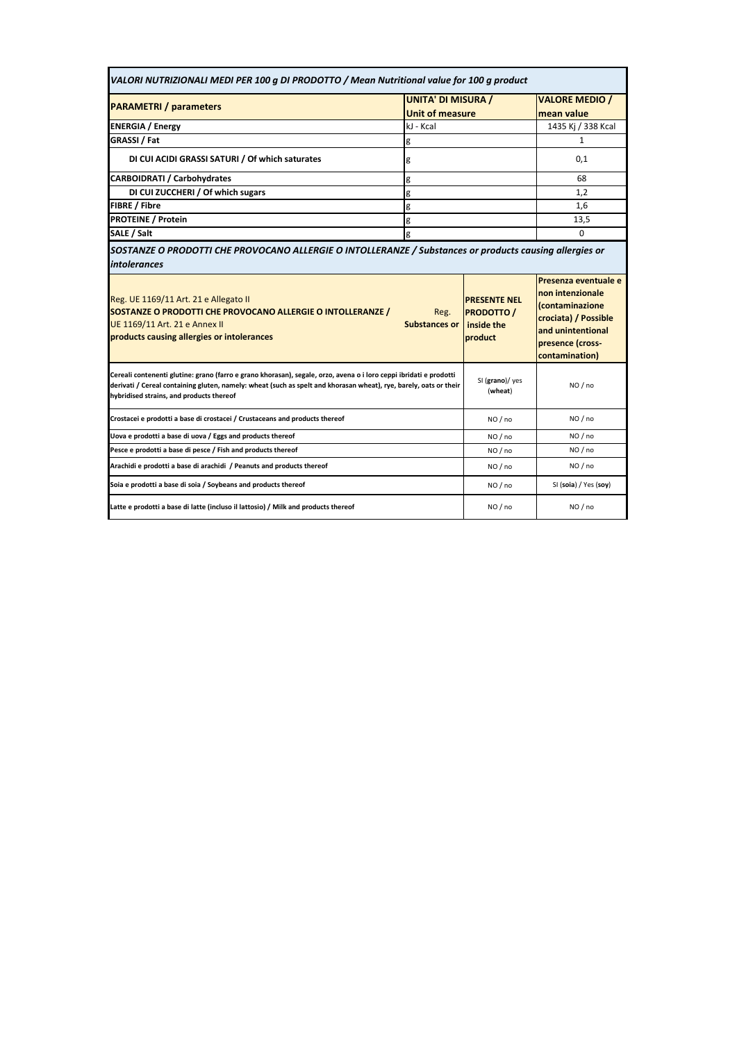| <b>UNITA' DI MISURA /</b><br><b>PARAMETRI</b> / parameters                                                                                                                                                                                                                          |                              |                                                                   | <b>VALORE MEDIO /</b>                                                                                                                                              |
|-------------------------------------------------------------------------------------------------------------------------------------------------------------------------------------------------------------------------------------------------------------------------------------|------------------------------|-------------------------------------------------------------------|--------------------------------------------------------------------------------------------------------------------------------------------------------------------|
|                                                                                                                                                                                                                                                                                     | <b>Unit of measure</b>       |                                                                   | mean value                                                                                                                                                         |
| kJ - Kcal<br><b>ENERGIA / Energy</b>                                                                                                                                                                                                                                                |                              |                                                                   | 1435 Kj / 338 Kcal                                                                                                                                                 |
| GRASSI / Fat<br>g                                                                                                                                                                                                                                                                   |                              |                                                                   | 1                                                                                                                                                                  |
| DI CUI ACIDI GRASSI SATURI / Of which saturates<br>g                                                                                                                                                                                                                                |                              |                                                                   | 0,1                                                                                                                                                                |
| <b>CARBOIDRATI / Carbohydrates</b>                                                                                                                                                                                                                                                  | g                            |                                                                   | 68                                                                                                                                                                 |
| DI CUI ZUCCHERI / Of which sugars                                                                                                                                                                                                                                                   | g                            |                                                                   | 1.2                                                                                                                                                                |
| <b>FIBRE / Fibre</b>                                                                                                                                                                                                                                                                | g                            |                                                                   | 1.6                                                                                                                                                                |
| <b>PROTEINE / Protein</b><br>g                                                                                                                                                                                                                                                      |                              |                                                                   | 13.5                                                                                                                                                               |
| SALE / Salt                                                                                                                                                                                                                                                                         | g                            |                                                                   | $\Omega$                                                                                                                                                           |
| SOSTANZE O PRODOTTI CHE PROVOCANO ALLERGIE O INTOLLERANZE / Substances or products causing allergies or<br><i>intolerances</i>                                                                                                                                                      |                              |                                                                   |                                                                                                                                                                    |
| Reg. UE 1169/11 Art. 21 e Allegato II<br>SOSTANZE O PRODOTTI CHE PROVOCANO ALLERGIE O INTOLLERANZE /<br>UE 1169/11 Art. 21 e Annex II<br>products causing allergies or intolerances                                                                                                 | Reg.<br><b>Substances or</b> | <b>PRESENTE NEL</b><br><b>PRODOTTO /</b><br>inside the<br>product | Presenza eventuale e<br>non intenzionale<br><i><u><b>Contaminazione</b></u></i><br>crociata) / Possible<br>and unintentional<br>presence (cross-<br>contamination) |
| Cereali contenenti glutine: grano (farro e grano khorasan), segale, orzo, avena o i loro ceppi ibridati e prodotti<br>derivati / Cereal containing gluten, namely: wheat (such as spelt and khorasan wheat), rye, barely, oats or their<br>hybridised strains, and products thereof |                              | SI (grano)/ yes<br>(wheat)                                        | NO/no                                                                                                                                                              |
| Crostacei e prodotti a base di crostacei / Crustaceans and products thereof                                                                                                                                                                                                         |                              | NO/no                                                             | NO / no                                                                                                                                                            |
| Uova e prodotti a base di uova / Eggs and products thereof                                                                                                                                                                                                                          |                              | NO/no                                                             | NO/no                                                                                                                                                              |
| Pesce e prodotti a base di pesce / Fish and products thereof                                                                                                                                                                                                                        |                              | NO/no                                                             | NO / no                                                                                                                                                            |
| Arachidi e prodotti a base di arachidi / Peanuts and products thereof                                                                                                                                                                                                               |                              | NO/no                                                             | NO/no                                                                                                                                                              |
|                                                                                                                                                                                                                                                                                     |                              |                                                                   |                                                                                                                                                                    |
| Soia e prodotti a base di soia / Soybeans and products thereof                                                                                                                                                                                                                      |                              | NO/no                                                             | SI (soia) / Yes (soy)                                                                                                                                              |